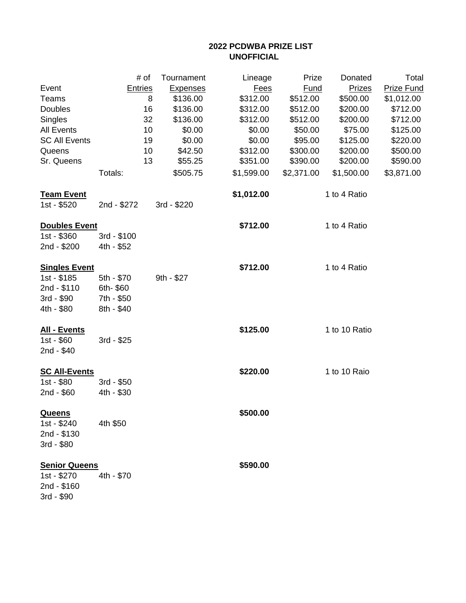## **2022 PCDWBA PRIZE LIST UNOFFICIAL**

|                      | # of           | Tournament      | Lineage     | Prize       | Donated       | Total             |
|----------------------|----------------|-----------------|-------------|-------------|---------------|-------------------|
| Event                | <b>Entries</b> | <b>Expenses</b> | <b>Fees</b> | <b>Fund</b> | <b>Prizes</b> | <b>Prize Fund</b> |
| Teams                | 8              | \$136.00        | \$312.00    | \$512.00    | \$500.00      | \$1,012.00        |
| Doubles              | 16             | \$136.00        | \$312.00    | \$512.00    | \$200.00      | \$712.00          |
| Singles              | 32             | \$136.00        | \$312.00    | \$512.00    | \$200.00      | \$712.00          |
| <b>All Events</b>    | 10             | \$0.00          | \$0.00      | \$50.00     | \$75.00       | \$125.00          |
| <b>SC All Events</b> | 19             | \$0.00          | \$0.00      | \$95.00     | \$125.00      | \$220.00          |
| Queens               | 10             | \$42.50         | \$312.00    | \$300.00    | \$200.00      | \$500.00          |
| Sr. Queens           | 13             | \$55.25         | \$351.00    | \$390.00    | \$200.00      | \$590.00          |
|                      | Totals:        | \$505.75        | \$1,599.00  | \$2,371.00  | \$1,500.00    | \$3,871.00        |
| <b>Team Event</b>    |                |                 | \$1,012.00  |             | 1 to 4 Ratio  |                   |
| 1st - \$520          | 2nd - \$272    | 3rd - \$220     |             |             |               |                   |
| <b>Doubles Event</b> |                |                 | \$712.00    |             | 1 to 4 Ratio  |                   |
| 1st - \$360          | 3rd - \$100    |                 |             |             |               |                   |
| 2nd - \$200          | 4th - \$52     |                 |             |             |               |                   |
| <b>Singles Event</b> |                |                 | \$712.00    |             | 1 to 4 Ratio  |                   |
| 1st - \$185          | 5th - \$70     | 9th - \$27      |             |             |               |                   |
| 2nd - \$110          | 6th-\$60       |                 |             |             |               |                   |
| 3rd - \$90           | 7th - \$50     |                 |             |             |               |                   |
| 4th - \$80           | 8th - \$40     |                 |             |             |               |                   |
| <b>All - Events</b>  |                |                 | \$125.00    |             | 1 to 10 Ratio |                   |
| 1st - \$60           | 3rd - \$25     |                 |             |             |               |                   |
| 2nd - \$40           |                |                 |             |             |               |                   |
| <b>SC All-Events</b> |                |                 | \$220.00    |             | 1 to 10 Raio  |                   |
| 1st - \$80           | 3rd - \$50     |                 |             |             |               |                   |
| $2nd - $60$          | 4th - \$30     |                 |             |             |               |                   |
| <b>Queens</b>        |                |                 | \$500.00    |             |               |                   |
| 1st - \$240          | 4th \$50       |                 |             |             |               |                   |
| 2nd - \$130          |                |                 |             |             |               |                   |
| 3rd - \$80           |                |                 |             |             |               |                   |
| <b>Senior Queens</b> |                |                 | \$590.00    |             |               |                   |
| 1st - \$270          | 4th - \$70     |                 |             |             |               |                   |
| 2nd - \$160          |                |                 |             |             |               |                   |
| 3rd - \$90           |                |                 |             |             |               |                   |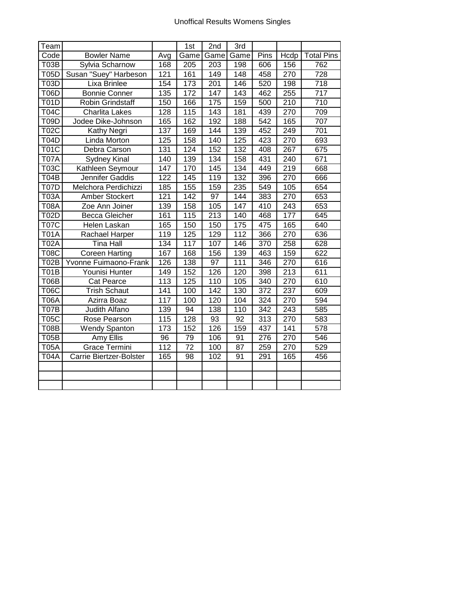| Team        |                         |                 | 1st              | 2nd              | 3rd              |      |                  |                   |
|-------------|-------------------------|-----------------|------------------|------------------|------------------|------|------------------|-------------------|
| Code        | <b>Bowler Name</b>      | Avg             | Game             | Game             | Game             | Pins | Hcdp             | <b>Total Pins</b> |
| T03B        | Sylvia Scharnow         | 168             | 205              | 203              | 198              | 606  | 156              | 762               |
| <b>T05D</b> | Susan "Suey" Harbeson   | 121             | 161              | $\overline{149}$ | $\overline{148}$ | 458  | 270              | 728               |
| <b>T03D</b> | Lixa Brinlee            | 154             | $\overline{173}$ | $\overline{201}$ | 146              | 520  | 198              | $\overline{718}$  |
| <b>T06D</b> | <b>Bonnie Conner</b>    | 135             | 172              | $\overline{147}$ | $\overline{143}$ | 462  | 255              | $\overline{717}$  |
| <b>T01D</b> | <b>Robin Grindstaff</b> | 150             | 166              | 175              | 159              | 500  | 210              | 710               |
| <b>T04C</b> | <b>Charlita Lakes</b>   | 128             | 115              | $\overline{143}$ | 181              | 439  | 270              | 709               |
| <b>T09D</b> | Jodee Dike-Johnson      | 165             | 162              | 192              | 188              | 542  | 165              | 707               |
| <b>T02C</b> | Kathy Negri             | 137             | 169              | 144              | 139              | 452  | 249              | 701               |
| <b>T04D</b> | Linda Morton            | 125             | 158              | 140              | 125              | 423  | $\overline{270}$ | 693               |
| <b>T01C</b> | Debra Carson            | 131             | 124              | 152              | 132              | 408  | 267              | 675               |
| <b>T07A</b> | <b>Sydney Kinal</b>     | 140             | 139              | 134              | 158              | 431  | 240              | 671               |
| T03C        | Kathleen Seymour        | 147             | 170              | 145              | 134              | 449  | 219              | 668               |
| <b>T04B</b> | Jennifer Gaddis         | 122             | 145              | 119              | 132              | 396  | 270              | 666               |
| <b>T07D</b> | Melchora Perdichizzi    | 185             | 155              | 159              | 235              | 549  | 105              | 654               |
| <b>T03A</b> | <b>Amber Stockert</b>   | 121             | 142              | 97               | 144              | 383  | 270              | 653               |
| <b>T08A</b> | Zoe Ann Joiner          | 139             | 158              | 105              | 147              | 410  | 243              | 653               |
| <b>T02D</b> | <b>Becca Gleicher</b>   | 161             | 115              | 213              | 140              | 468  | 177              | 645               |
| <b>T07C</b> | Helen Laskan            | 165             | 150              | 150              | 175              | 475  | 165              | 640               |
| <b>T01A</b> | Rachael Harper          | 119             | 125              | 129              | 112              | 366  | 270              | 636               |
| <b>T02A</b> | <b>Tina Hall</b>        | 134             | 117              | 107              | 146              | 370  | 258              | 628               |
| <b>T08C</b> | <b>Coreen Harting</b>   | 167             | 168              | 156              | 139              | 463  | 159              | 622               |
| <b>T02B</b> | Yvonne Fuimaono-Frank   | 126             | 138              | 97               | 111              | 346  | 270              | 616               |
| <b>T01B</b> | Younisi Hunter          | 149             | 152              | 126              | 120              | 398  | 213              | 611               |
| <b>T06B</b> | Cat Pearce              | 113             | 125              | 110              | 105              | 340  | 270              | 610               |
| <b>T06C</b> | <b>Trish Schaut</b>     | 141             | 100              | 142              | 130              | 372  | 237              | 609               |
| <b>T06A</b> | Azirra Boaz             | 117             | 100              | 120              | 104              | 324  | 270              | 594               |
| <b>T07B</b> | Judith Alfano           | 139             | 94               | 138              | 110              | 342  | 243              | 585               |
| <b>T05C</b> | Rose Pearson            | 115             | 128              | 93               | 92               | 313  | 270              | 583               |
| <b>T08B</b> | <b>Wendy Spanton</b>    | 173             | 152              | 126              | 159              | 437  | 141              | 578               |
| <b>T05B</b> | Amy Ellis               | $\overline{96}$ | 79               | 106              | 91               | 276  | 270              | 546               |
| <b>T05A</b> | <b>Grace Termini</b>    | 112             | $\overline{72}$  | 100              | 87               | 259  | 270              | 529               |
| <b>T04A</b> | Carrie Biertzer-Bolster | 165             | $\overline{98}$  | 102              | 91               | 291  | 165              | 456               |
|             |                         |                 |                  |                  |                  |      |                  |                   |
|             |                         |                 |                  |                  |                  |      |                  |                   |
|             |                         |                 |                  |                  |                  |      |                  |                   |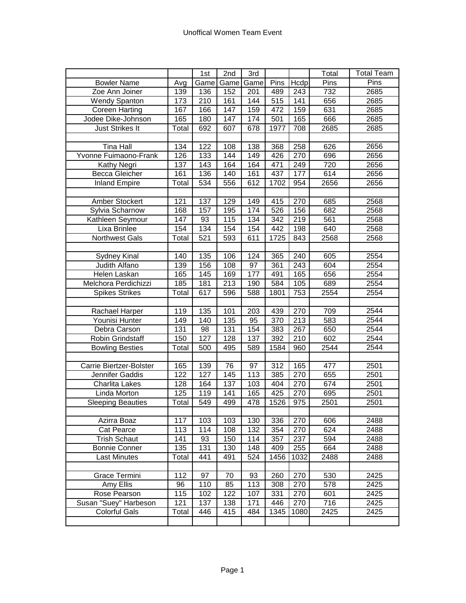|                          |                  | 1st  | 2nd  | 3rd  |      |      | Total | <b>Total Team</b> |
|--------------------------|------------------|------|------|------|------|------|-------|-------------------|
| <b>Bowler Name</b>       | Avg              | Game | Game | Game | Pins | Hcdp | Pins  | Pins              |
| Zoe Ann Joiner           | 139              | 136  | 152  | 201  | 489  | 243  | 732   | 2685              |
| <b>Wendy Spanton</b>     | 173              | 210  | 161  | 144  | 515  | 141  | 656   | 2685              |
| <b>Coreen Harting</b>    | 167              | 166  | 147  | 159  | 472  | 159  | 631   | 2685              |
| Jodee Dike-Johnson       | 165              | 180  | 147  | 174  | 501  | 165  | 666   | 2685              |
| <b>Just Strikes It</b>   | Total            | 692  | 607  | 678  | 1977 | 708  | 2685  | 2685              |
|                          |                  |      |      |      |      |      |       |                   |
| <b>Tina Hall</b>         | 134              | 122  | 108  | 138  | 368  | 258  | 626   | 2656              |
| Yvonne Fuimaono-Frank    | 126              | 133  | 144  | 149  | 426  | 270  | 696   | 2656              |
| Kathy Negri              | 137              | 143  | 164  | 164  | 471  | 249  | 720   | 2656              |
| <b>Becca Gleicher</b>    | $\overline{161}$ | 136  | 140  | 161  | 437  | 177  | 614   | 2656              |
| <b>Inland Empire</b>     | Total            | 534  | 556  | 612  | 1702 | 954  | 2656  | 2656              |
|                          |                  |      |      |      |      |      |       |                   |
| Amber Stockert           | 121              | 137  | 129  | 149  | 415  | 270  | 685   | 2568              |
| Sylvia Scharnow          | 168              | 157  | 195  | 174  | 526  | 156  | 682   | 2568              |
| Kathleen Seymour         | 147              | 93   | 115  | 134  | 342  | 219  | 561   | 2568              |
| Lixa Brinlee             | 154              | 134  | 154  | 154  | 442  | 198  | 640   | 2568              |
| <b>Northwest Gals</b>    | Total            | 521  | 593  | 611  | 1725 | 843  | 2568  | 2568              |
|                          |                  |      |      |      |      |      |       |                   |
| Sydney Kinal             | 140              | 135  | 106  | 124  | 365  | 240  | 605   | 2554              |
| Judith Alfano            | 139              | 156  | 108  | 97   | 361  | 243  | 604   | 2554              |
| Helen Laskan             | 165              | 145  | 169  | 177  | 491  | 165  | 656   | 2554              |
| Melchora Perdichizzi     | 185              | 181  | 213  | 190  | 584  | 105  | 689   | 2554              |
| <b>Spikes Strikes</b>    | Total            | 617  | 596  | 588  | 1801 | 753  | 2554  | 2554              |
|                          |                  |      |      |      |      |      |       |                   |
| Rachael Harper           | 119              | 135  | 101  | 203  | 439  | 270  | 709   | 2544              |
| Younisi Hunter           | 149              | 140  | 135  | 95   | 370  | 213  | 583   | 2544              |
| Debra Carson             | 131              | 98   | 131  | 154  | 383  | 267  | 650   | 2544              |
| Robin Grindstaff         | 150              | 127  | 128  | 137  | 392  | 210  | 602   | 2544              |
| <b>Bowling Besties</b>   | Total            | 500  | 495  | 589  | 1584 | 960  | 2544  | 2544              |
|                          |                  |      |      |      |      |      |       |                   |
| Carrie Biertzer-Bolster  | 165              | 139  | 76   | 97   | 312  | 165  | 477   | 2501              |
| Jennifer Gaddis          | 122              | 127  | 145  | 113  | 385  | 270  | 655   | 2501              |
| <b>Charlita Lakes</b>    | 128              | 164  | 137  | 103  | 404  | 270  | 674   | 2501              |
| Linda Morton             | 125              | 119  | 141  | 165  | 425  | 270  | 695   | 2501              |
| <b>Sleeping Beauties</b> | Total            | 549  | 499  | 478  | 1526 | 975  | 2501  | 2501              |
|                          |                  |      |      |      |      |      |       |                   |
| Azirra Boaz              | 117              | 103  | 103  | 130  | 336  | 270  | 606   | 2488              |
| Cat Pearce               | 113              | 114  | 108  | 132  | 354  | 270  | 624   | 2488              |
| <b>Trish Schaut</b>      | 141              | 93   | 150  | 114  | 357  | 237  | 594   | 2488              |
| <b>Bonnie Conner</b>     | 135              | 131  | 130  | 148  | 409  | 255  | 664   | 2488              |
| <b>Last Minutes</b>      | Total            | 441  | 491  | 524  | 1456 | 1032 | 2488  | 2488              |
|                          |                  |      |      |      |      |      |       |                   |
| Grace Termini            | 112              | 97   | 70   | 93   | 260  | 270  | 530   | 2425              |
| Amy Ellis                | 96               | 110  | 85   | 113  | 308  | 270  | 578   | 2425              |
| Rose Pearson             | 115              | 102  | 122  | 107  | 331  | 270  | 601   | 2425              |
| Susan "Suey" Harbeson    | 121              | 137  | 138  | 171  | 446  | 270  | 716   | 2425              |
| <b>Colorful Gals</b>     | Total            | 446  | 415  | 484  | 1345 | 1080 | 2425  | 2425              |
|                          |                  |      |      |      |      |      |       |                   |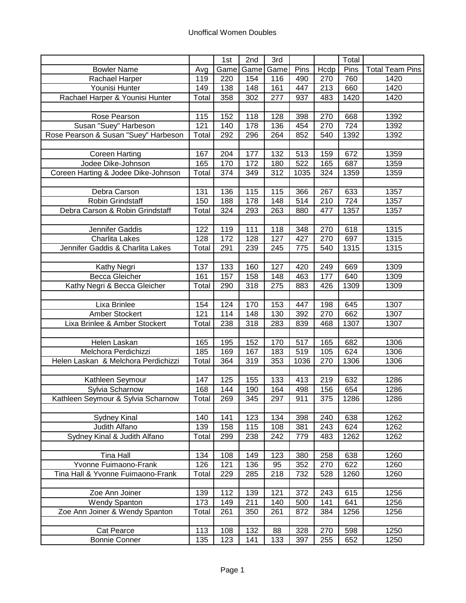|                                      |       | 1st  | 2nd             | 3rd              |      |                  | Total |                        |
|--------------------------------------|-------|------|-----------------|------------------|------|------------------|-------|------------------------|
| <b>Bowler Name</b>                   | Avg   | Game | Game            | Game             | Pins | Hcdp             | Pins  | <b>Total Team Pins</b> |
| Rachael Harper                       | 119   | 220  | 154             | 116              | 490  | 270              | 760   | 1420                   |
| Younisi Hunter                       | 149   | 138  | 148             | $\overline{161}$ | 447  | $\overline{213}$ | 660   | 1420                   |
| Rachael Harper & Younisi Hunter      | Total | 358  | 302             | 277              | 937  | 483              | 1420  | 1420                   |
|                                      |       |      |                 |                  |      |                  |       |                        |
| Rose Pearson                         | 115   | 152  | 118             | 128              | 398  | 270              | 668   | 1392                   |
| Susan "Suey" Harbeson                | 121   | 140  | 178             | 136              | 454  | 270              | 724   | 1392                   |
| Rose Pearson & Susan "Suey" Harbeson | Total | 292  | 296             | 264              | 852  | 540              | 1392  | 1392                   |
|                                      |       |      |                 |                  |      |                  |       |                        |
| <b>Coreen Harting</b>                | 167   | 204  | 177             | 132              | 513  | 159              | 672   | 1359                   |
| Jodee Dike-Johnson                   | 165   | 170  | $\frac{1}{172}$ | 180              | 522  | 165              | 687   | 1359                   |
| Coreen Harting & Jodee Dike-Johnson  | Total | 374  | 349             | $\overline{3}12$ | 1035 | 324              | 1359  | 1359                   |
|                                      |       |      |                 |                  |      |                  |       |                        |
| Debra Carson                         | 131   | 136  | 115             | 115              | 366  | 267              | 633   | 1357                   |
| Robin Grindstaff                     | 150   | 188  | 178             | 148              | 514  | 210              | 724   | 1357                   |
| Debra Carson & Robin Grindstaff      | Total | 324  | 293             | 263              | 880  | 477              | 1357  | 1357                   |
|                                      |       |      |                 |                  |      |                  |       |                        |
| Jennifer Gaddis                      | 122   | 119  | 111             | 118              | 348  | 270              | 618   | 1315                   |
| <b>Charlita Lakes</b>                | 128   | 172  | 128             | 127              | 427  | 270              | 697   | 1315                   |
| Jennifer Gaddis & Charlita Lakes     | Total | 291  | 239             | 245              | 775  | 540              | 1315  | 1315                   |
|                                      |       |      |                 |                  |      |                  |       |                        |
| Kathy Negri                          | 137   | 133  | 160             | 127              | 420  | 249              | 669   | 1309                   |
| <b>Becca Gleicher</b>                | 161   | 157  | 158             | 148              | 463  | 177              | 640   | 1309                   |
| Kathy Negri & Becca Gleicher         | Total | 290  | 318             | $\overline{275}$ | 883  | 426              | 1309  | 1309                   |
| Lixa Brinlee                         | 154   | 124  | 170             | 153              | 447  | 198              | 645   | 1307                   |
| Amber Stockert                       | 121   | 114  | 148             | 130              | 392  | 270              | 662   | 1307                   |
| Lixa Brinlee & Amber Stockert        | Total | 238  | 318             | 283              | 839  | 468              | 1307  | 1307                   |
|                                      |       |      |                 |                  |      |                  |       |                        |
| Helen Laskan                         | 165   | 195  | 152             | 170              | 517  | 165              | 682   | 1306                   |
| Melchora Perdichizzi                 | 185   | 169  | 167             | 183              | 519  | 105              | 624   | 1306                   |
| Helen Laskan & Melchora Perdichizzi  | Total | 364  | 319             | 353              | 1036 | 270              | 1306  | 1306                   |
|                                      |       |      |                 |                  |      |                  |       |                        |
| Kathleen Seymour                     | 147   | 125  | 155             | 133              | 413  | 219              | 632   | 1286                   |
| Sylvia Scharnow                      | 168   | 144  | 190             | 164              | 498  | 156              | 654   | 1286                   |
| Kathleen Seymour & Sylvia Scharnow   | Total | 269  | 345             | 297              | 911  | 375              | 1286  | 1286                   |
|                                      |       |      |                 |                  |      |                  |       |                        |
| Sydney Kinal                         | 140   | 141  | 123             | 134              | 398  | 240              | 638   | 1262                   |
| Judith Alfano                        | 139   | 158  | 115             | 108              | 381  | 243              | 624   | 1262                   |
| Sydney Kinal & Judith Alfano         | Total | 299  | 238             | 242              | 779  | 483              | 1262  | 1262                   |
|                                      |       |      |                 |                  |      |                  |       |                        |
| <b>Tina Hall</b>                     | 134   | 108  | 149             | 123              | 380  | 258              | 638   | 1260                   |
| Yvonne Fuimaono-Frank                | 126   | 121  | 136             | 95               | 352  | 270              | 622   | 1260                   |
| Tina Hall & Yvonne Fuimaono-Frank    | Total | 229  | 285             | 218              | 732  | 528              | 1260  | 1260                   |
|                                      |       |      |                 |                  |      |                  |       |                        |
| Zoe Ann Joiner                       | 139   | 112  | 139             | 121              | 372  | 243              | 615   | 1256                   |
| <b>Wendy Spanton</b>                 | 173   | 149  | 211             | 140              | 500  | 141              | 641   | 1256                   |
| Zoe Ann Joiner & Wendy Spanton       | Total | 261  | 350             | 261              | 872  | 384              | 1256  | 1256                   |
|                                      |       |      |                 |                  |      |                  |       |                        |
| Cat Pearce                           | 113   | 108  | 132             | 88               | 328  | 270              | 598   | 1250                   |
| Bonnie Conner                        | 135   | 123  | 141             | 133              | 397  | 255              | 652   | 1250                   |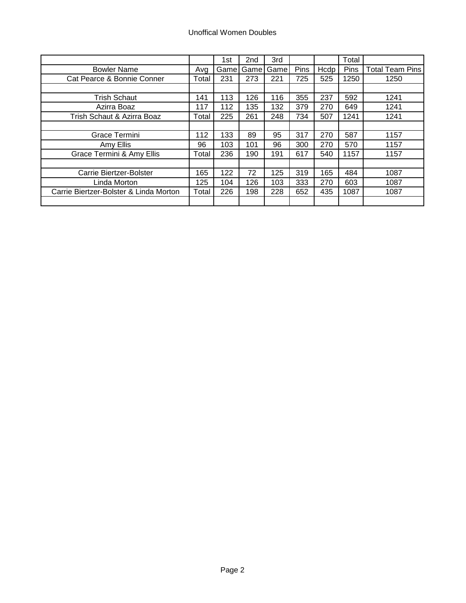|                                        |       | 1st   | 2 <sub>nd</sub> | 3rd   |      |      | Total |                        |
|----------------------------------------|-------|-------|-----------------|-------|------|------|-------|------------------------|
| <b>Bowler Name</b>                     | Avg   | Gamel | Gamel           | Gamel | Pins | Hcdp | Pins  | <b>Total Team Pins</b> |
| Cat Pearce & Bonnie Conner             | Total | 231   | 273             | 221   | 725  | 525  | 1250  | 1250                   |
|                                        |       |       |                 |       |      |      |       |                        |
| <b>Trish Schaut</b>                    | 141   | 113   | 126             | 116   | 355  | 237  | 592   | 1241                   |
| Azirra Boaz                            | 117   | 112   | 135             | 132   | 379  | 270  | 649   | 1241                   |
| Trish Schaut & Azirra Boaz             | Total | 225   | 261             | 248   | 734  | 507  | 1241  | 1241                   |
|                                        |       |       |                 |       |      |      |       |                        |
| Grace Termini                          | 112   | 133   | 89              | 95    | 317  | 270  | 587   | 1157                   |
| Amy Ellis                              | 96    | 103   | 101             | 96    | 300  | 270  | 570   | 1157                   |
| Grace Termini & Amy Ellis              | Total | 236   | 190             | 191   | 617  | 540  | 1157  | 1157                   |
|                                        |       |       |                 |       |      |      |       |                        |
| Carrie Biertzer-Bolster                | 165   | 122   | 72              | 125   | 319  | 165  | 484   | 1087                   |
| Linda Morton                           | 125   | 104   | 126             | 103   | 333  | 270  | 603   | 1087                   |
| Carrie Biertzer-Bolster & Linda Morton | Total | 226   | 198             | 228   | 652  | 435  | 1087  | 1087                   |
|                                        |       |       |                 |       |      |      |       |                        |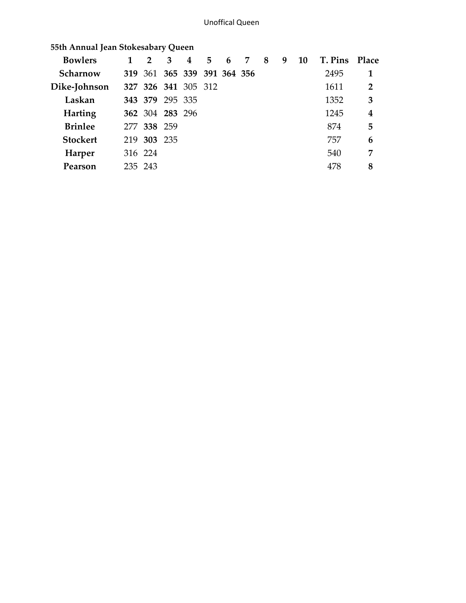| <b>Bowlers</b>  | $2^{\circ}$     | 3 | $\overline{4}$              | 5. | 6 | 7 | 8 | 9 | <b>10</b> | T. Pins | <b>Place</b>   |
|-----------------|-----------------|---|-----------------------------|----|---|---|---|---|-----------|---------|----------------|
| Scharnow        |                 |   | 319 361 365 339 391 364 356 |    |   |   |   |   |           | 2495    | $\mathbf 1$    |
| Dike-Johnson    |                 |   | 327 326 341 305 312         |    |   |   |   |   |           | 1611    | $\overline{2}$ |
| Laskan          | 343 379 295 335 |   |                             |    |   |   |   |   |           | 1352    | 3              |
| <b>Harting</b>  | 362 304 283 296 |   |                             |    |   |   |   |   |           | 1245    | 4              |
| <b>Brinlee</b>  | 277 338 259     |   |                             |    |   |   |   |   |           | 874     | 5              |
| <b>Stockert</b> | 219 303 235     |   |                             |    |   |   |   |   |           | 757     | 6              |
| Harper          | 316 224         |   |                             |    |   |   |   |   |           | 540     | 7              |
| Pearson         | 235 243         |   |                             |    |   |   |   |   |           | 478     | 8              |
|                 |                 |   |                             |    |   |   |   |   |           |         |                |

 **55th Annual Jean Stokesabary Queen**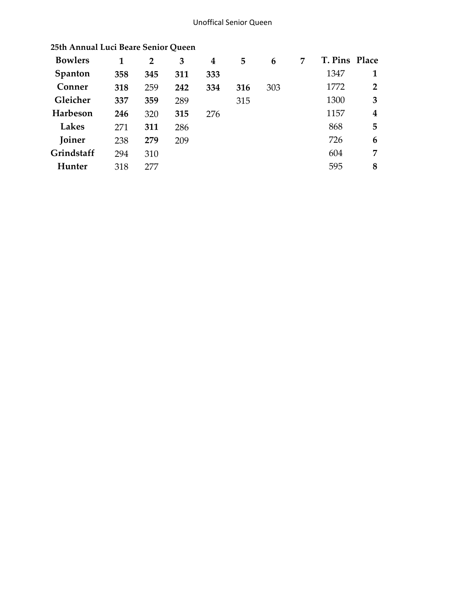## Unoffical Senior Queen

| <b>Bowlers</b> |     | $\overline{2}$ | 3   | 4   | 5   | 6   | 7 | T. Pins Place |                         |
|----------------|-----|----------------|-----|-----|-----|-----|---|---------------|-------------------------|
| Spanton        | 358 | 345            | 311 | 333 |     |     |   | 1347          |                         |
| Conner         | 318 | 259            | 242 | 334 | 316 | 303 |   | 1772          | $\overline{2}$          |
| Gleicher       | 337 | 359            | 289 |     | 315 |     |   | 1300          | 3                       |
| Harbeson       | 246 | 320            | 315 | 276 |     |     |   | 1157          | $\overline{\mathbf{4}}$ |
| Lakes          | 271 | 311            | 286 |     |     |     |   | 868           | 5                       |
| Joiner         | 238 | 279            | 209 |     |     |     |   | 726           | 6                       |
| Grindstaff     | 294 | 310            |     |     |     |     |   | 604           | 7                       |
| Hunter         | 318 | 277            |     |     |     |     |   | 595           | 8                       |

## **25th Annual Luci Beare Senior Queen**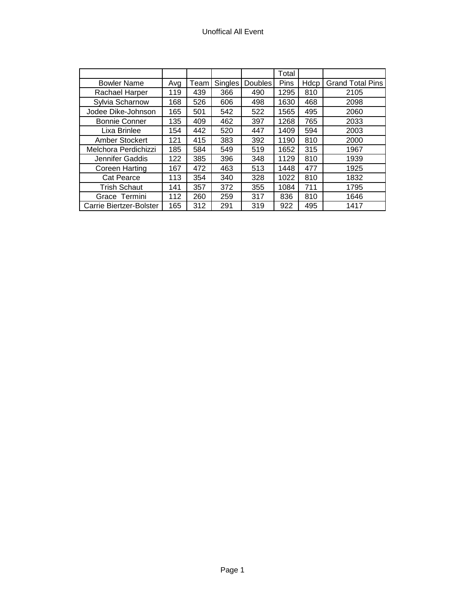## Unoffical All Event

|                         |     |      |         |         | Total |      |                         |
|-------------------------|-----|------|---------|---------|-------|------|-------------------------|
| <b>Bowler Name</b>      | Avg | Team | Singles | Doubles | Pins  | Hdcp | <b>Grand Total Pins</b> |
| Rachael Harper          | 119 | 439  | 366     | 490     | 1295  | 810  | 2105                    |
| Sylvia Scharnow         | 168 | 526  | 606     | 498     | 1630  | 468  | 2098                    |
| Jodee Dike-Johnson      | 165 | 501  | 542     | 522     | 1565  | 495  | 2060                    |
| <b>Bonnie Conner</b>    | 135 | 409  | 462     | 397     | 1268  | 765  | 2033                    |
| Lixa Brinlee            | 154 | 442  | 520     | 447     | 1409  | 594  | 2003                    |
| Amber Stockert          | 121 | 415  | 383     | 392     | 1190  | 810  | 2000                    |
| Melchora Perdichizzi    | 185 | 584  | 549     | 519     | 1652  | 315  | 1967                    |
| Jennifer Gaddis         | 122 | 385  | 396     | 348     | 1129  | 810  | 1939                    |
| <b>Coreen Harting</b>   | 167 | 472  | 463     | 513     | 1448  | 477  | 1925                    |
| <b>Cat Pearce</b>       | 113 | 354  | 340     | 328     | 1022  | 810  | 1832                    |
| <b>Trish Schaut</b>     | 141 | 357  | 372     | 355     | 1084  | 711  | 1795                    |
| Grace Termini           | 112 | 260  | 259     | 317     | 836   | 810  | 1646                    |
| Carrie Biertzer-Bolster | 165 | 312  | 291     | 319     | 922   | 495  | 1417                    |